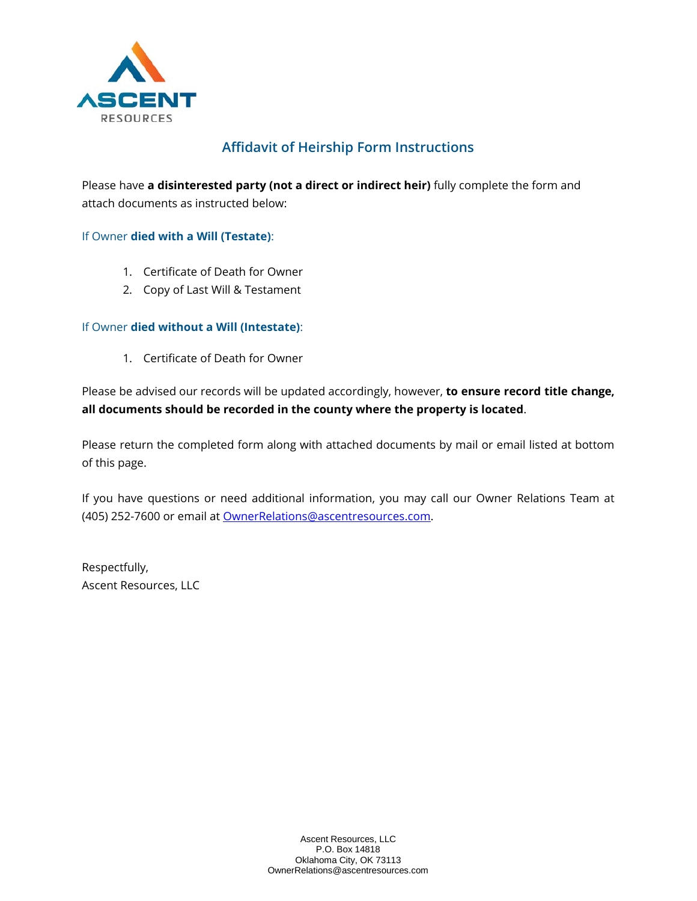

## **Affidavit of Heirship Form Instructions**

Please have **a disinterested party (not a direct or indirect heir)** fully complete the form and attach documents as instructed below:

If Owner **died with a Will (Testate)**:

- 1. Certificate of Death for Owner
- 2. Copy of Last Will & Testament

## If Owner **died without a Will (Intestate)**:

1. Certificate of Death for Owner

Please be advised our records will be updated accordingly, however, **to ensure record title change, all documents should be recorded in the county where the property is located**.

Please return the completed form along with attached documents by mail or email listed at bottom of this page.

If you have questions or need additional information, you may call our Owner Relations Team at (405) 252-7600 or email at [OwnerRelations@ascentresources.com.](mailto:OwnerRelations@ascentresources.com)

Respectfully, Ascent Resources, LLC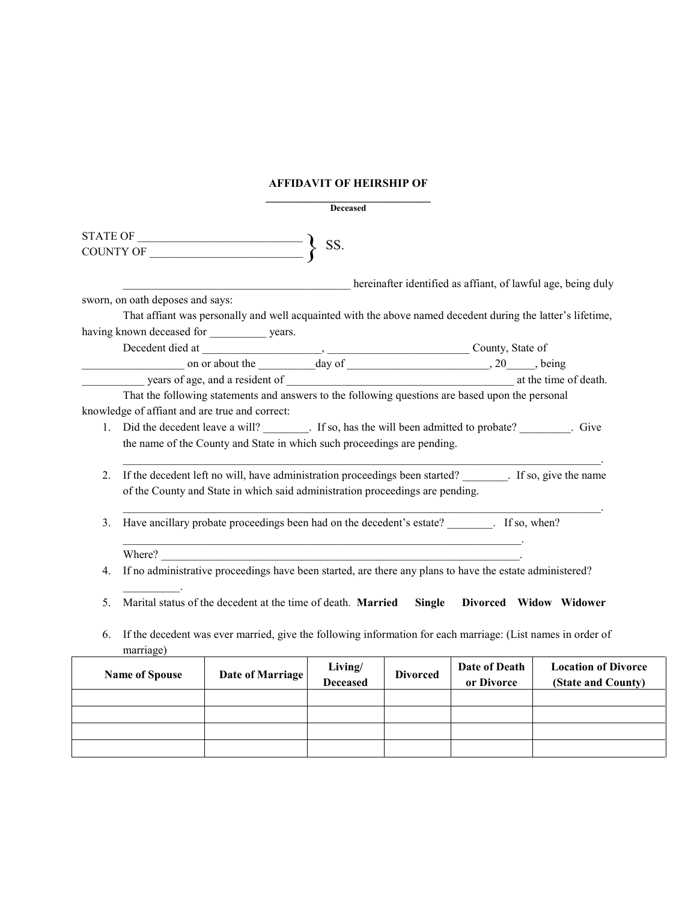## **AFFIDAVIT OF HEIRSHIP OF**

|    |                                                |                                                                                                                                                                                                                           | <b>Deceased</b> |                 |                                                              |                            |
|----|------------------------------------------------|---------------------------------------------------------------------------------------------------------------------------------------------------------------------------------------------------------------------------|-----------------|-----------------|--------------------------------------------------------------|----------------------------|
|    |                                                |                                                                                                                                                                                                                           |                 |                 |                                                              |                            |
|    |                                                | $\begin{tabular}{l} \multicolumn{2}{c}{\text{STATE OF}} \\ \hline \multicolumn{2}{c}{\text{COUNTY OF}} \end{tabular} \begin{tabular}{c} \multicolumn{2}{c}{\text{SIS.}} \\ \multicolumn{2}{c}{\text{SIS.}} \end{tabular}$ |                 |                 |                                                              |                            |
|    |                                                |                                                                                                                                                                                                                           |                 |                 |                                                              |                            |
|    |                                                | <u> 1990 - Johann Barbara, martin a</u>                                                                                                                                                                                   |                 |                 | hereinafter identified as affiant, of lawful age, being duly |                            |
|    | sworn, on oath deposes and says:               |                                                                                                                                                                                                                           |                 |                 |                                                              |                            |
|    |                                                | That affiant was personally and well acquainted with the above named decedent during the latter's lifetime,                                                                                                               |                 |                 |                                                              |                            |
|    |                                                | having known deceased for years.                                                                                                                                                                                          |                 |                 |                                                              |                            |
|    |                                                |                                                                                                                                                                                                                           |                 |                 |                                                              |                            |
|    |                                                |                                                                                                                                                                                                                           |                 |                 |                                                              |                            |
|    |                                                |                                                                                                                                                                                                                           |                 |                 |                                                              | at the time of death.      |
|    |                                                | That the following statements and answers to the following questions are based upon the personal                                                                                                                          |                 |                 |                                                              |                            |
|    | knowledge of affiant and are true and correct: |                                                                                                                                                                                                                           |                 |                 |                                                              |                            |
|    |                                                | 1. Did the decedent leave a will? _________. If so, has the will been admitted to probate? _________. Give                                                                                                                |                 |                 |                                                              |                            |
|    |                                                | the name of the County and State in which such proceedings are pending.                                                                                                                                                   |                 |                 |                                                              |                            |
|    |                                                |                                                                                                                                                                                                                           |                 |                 |                                                              |                            |
| 2. |                                                |                                                                                                                                                                                                                           |                 |                 |                                                              |                            |
|    |                                                | of the County and State in which said administration proceedings are pending.                                                                                                                                             |                 |                 |                                                              |                            |
|    |                                                |                                                                                                                                                                                                                           |                 |                 |                                                              |                            |
| 3. |                                                | Have ancillary probate proceedings been had on the decedent's estate? Fig. 3. If so, when?                                                                                                                                |                 |                 |                                                              |                            |
|    |                                                |                                                                                                                                                                                                                           |                 |                 |                                                              |                            |
|    |                                                |                                                                                                                                                                                                                           |                 |                 |                                                              |                            |
| 4. |                                                | Where?<br>If no administrative proceedings have been started, are there any plans to have the estate administered?                                                                                                        |                 |                 |                                                              |                            |
|    |                                                |                                                                                                                                                                                                                           |                 |                 |                                                              |                            |
|    |                                                |                                                                                                                                                                                                                           |                 |                 |                                                              |                            |
| 5. |                                                | Marital status of the decedent at the time of death. Married                                                                                                                                                              |                 | <b>Single</b>   | Divorced Widow Widower                                       |                            |
|    |                                                |                                                                                                                                                                                                                           |                 |                 |                                                              |                            |
| 6. |                                                | If the decedent was ever married, give the following information for each marriage: (List names in order of                                                                                                               |                 |                 |                                                              |                            |
|    | marriage)                                      |                                                                                                                                                                                                                           |                 |                 |                                                              |                            |
|    | <b>Name of Spouse</b>                          | Date of Marriage                                                                                                                                                                                                          | Living/         | <b>Divorced</b> | Date of Death                                                | <b>Location of Divorce</b> |
|    |                                                |                                                                                                                                                                                                                           | <b>Deceased</b> |                 | or Divorce                                                   | (State and County)         |
|    |                                                |                                                                                                                                                                                                                           |                 |                 |                                                              |                            |
|    |                                                |                                                                                                                                                                                                                           |                 |                 |                                                              |                            |
|    |                                                |                                                                                                                                                                                                                           |                 |                 |                                                              |                            |
|    |                                                |                                                                                                                                                                                                                           |                 |                 |                                                              |                            |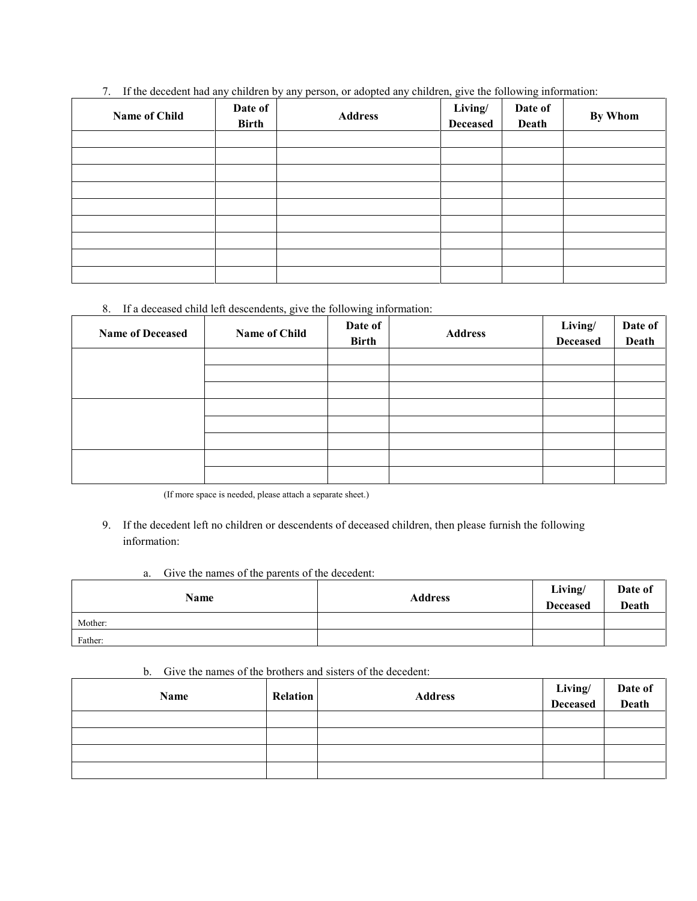7. If the decedent had any children by any person, or adopted any children, give the following information:

| Name of Child | Date of<br><b>Birth</b> | <b>Address</b> | Living/<br><b>Deceased</b> | Date of<br>Death | By Whom |
|---------------|-------------------------|----------------|----------------------------|------------------|---------|
|               |                         |                |                            |                  |         |
|               |                         |                |                            |                  |         |
|               |                         |                |                            |                  |         |
|               |                         |                |                            |                  |         |
|               |                         |                |                            |                  |         |
|               |                         |                |                            |                  |         |
|               |                         |                |                            |                  |         |
|               |                         |                |                            |                  |         |
|               |                         |                |                            |                  |         |

8. If a deceased child left descendents, give the following information:

| <b>Name of Deceased</b> | Name of Child | Date of<br><b>Birth</b> | <b>Address</b> | Living/<br><b>Deceased</b> | Date of<br><b>Death</b> |
|-------------------------|---------------|-------------------------|----------------|----------------------------|-------------------------|
|                         |               |                         |                |                            |                         |
|                         |               |                         |                |                            |                         |
|                         |               |                         |                |                            |                         |
|                         |               |                         |                |                            |                         |
|                         |               |                         |                |                            |                         |
|                         |               |                         |                |                            |                         |
|                         |               |                         |                |                            |                         |
|                         |               |                         |                |                            |                         |

(If more space is needed, please attach a separate sheet.)

- 9. If the decedent left no children or descendents of deceased children, then please furnish the following information:
	- a. Give the names of the parents of the decedent:

| Name    | <b>Address</b> | Living/<br><b>Deceased</b> | Date of<br>Death |
|---------|----------------|----------------------------|------------------|
| Mother: |                |                            |                  |
| Father: |                |                            |                  |

b. Give the names of the brothers and sisters of the decedent:

| Name | Relation | Living/<br>Deceased | Date of<br>Death |  |
|------|----------|---------------------|------------------|--|
|      |          | <b>Address</b>      |                  |  |
|      |          |                     |                  |  |
|      |          |                     |                  |  |
|      |          |                     |                  |  |
|      |          |                     |                  |  |